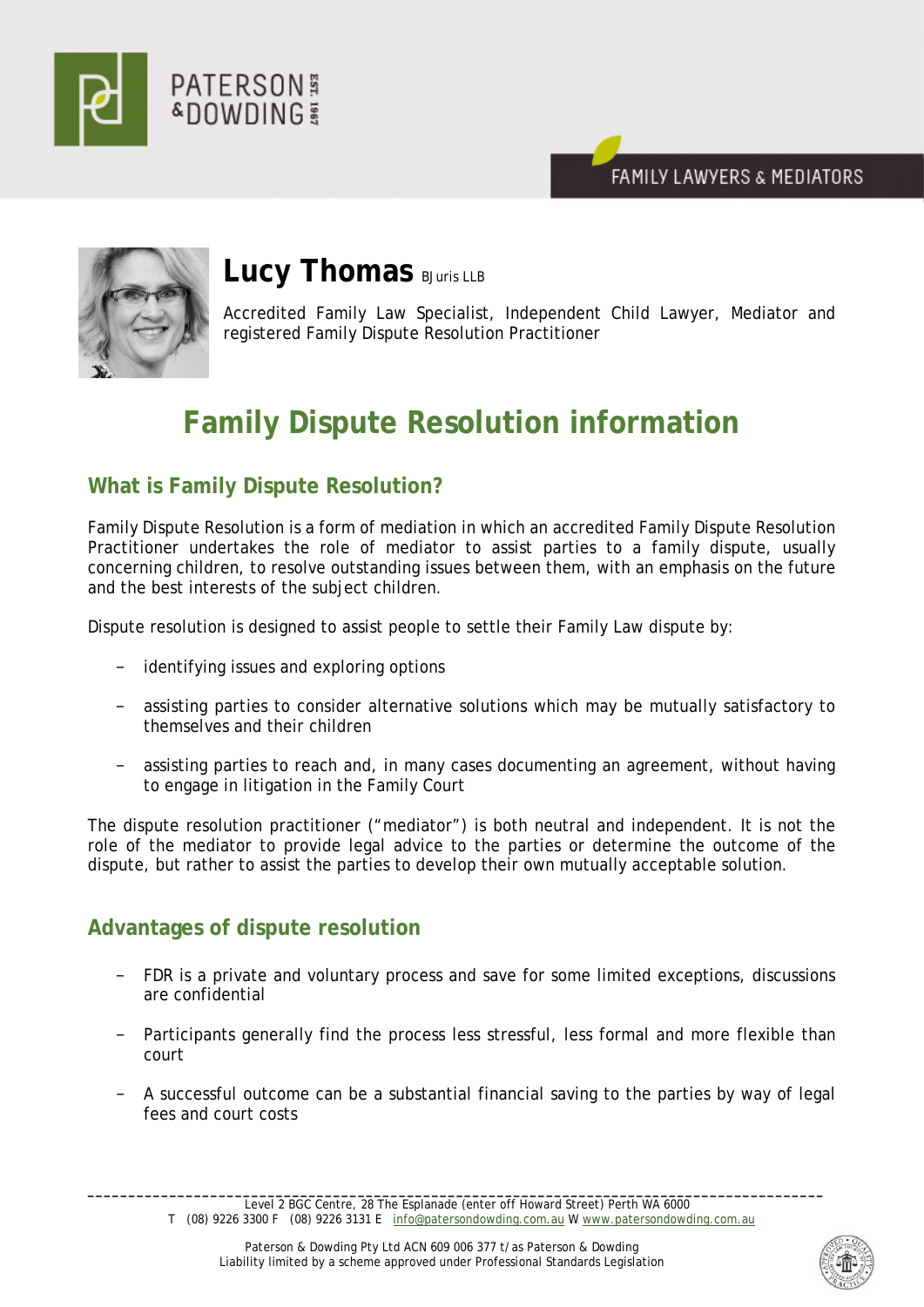





# **Lucy Thomas** BJuris LLB

Accredited Family Law Specialist, Independent Child Lawyer, Mediator and registered Family Dispute Resolution Practitioner

# **Family Dispute Resolution information**

# **What is Family Dispute Resolution?**

Family Dispute Resolution is a form of mediation in which an accredited Family Dispute Resolution Practitioner undertakes the role of mediator to assist parties to a family dispute, usually concerning children, to resolve outstanding issues between them, with an emphasis on the future and the best interests of the subject children.

Dispute resolution is designed to assist people to settle their Family Law dispute by:

- identifying issues and exploring options
- − assisting parties to consider alternative solutions which may be mutually satisfactory to themselves and their children
- − assisting parties to reach and, in many cases documenting an agreement, without having to engage in litigation in the Family Court

The dispute resolution practitioner ("mediator") is both neutral and independent. It is not the role of the mediator to provide legal advice to the parties or determine the outcome of the dispute, but rather to assist the parties to develop their own mutually acceptable solution.

# **Advantages of dispute resolution**

- FDR is a private and voluntary process and save for some limited exceptions, discussions are confidential
- Participants generally find the process less stressful, less formal and more flexible than court
- − A successful outcome can be a substantial financial saving to the parties by way of legal fees and court costs

**\_\_\_\_\_\_\_\_\_\_\_\_\_\_\_\_\_\_\_\_\_\_\_\_\_\_\_\_\_\_\_\_\_\_\_\_\_\_\_\_\_\_\_\_\_\_\_\_\_\_\_\_\_\_\_\_\_\_\_\_\_\_\_\_\_\_\_\_\_\_\_\_\_\_\_\_\_\_\_\_\_\_\_\_\_\_\_\_\_\_** Level 2 BGC Centre, 28 The Esplanade (enter off Howard Street) Perth WA 6000 T (08) 9226 3300 F (08) 9226 3131 E [info@patersondowding.com.au](mailto:info@patersondowding.com.au) [W www.patersondowding.com.au](http://www.patersondowding.com.au/)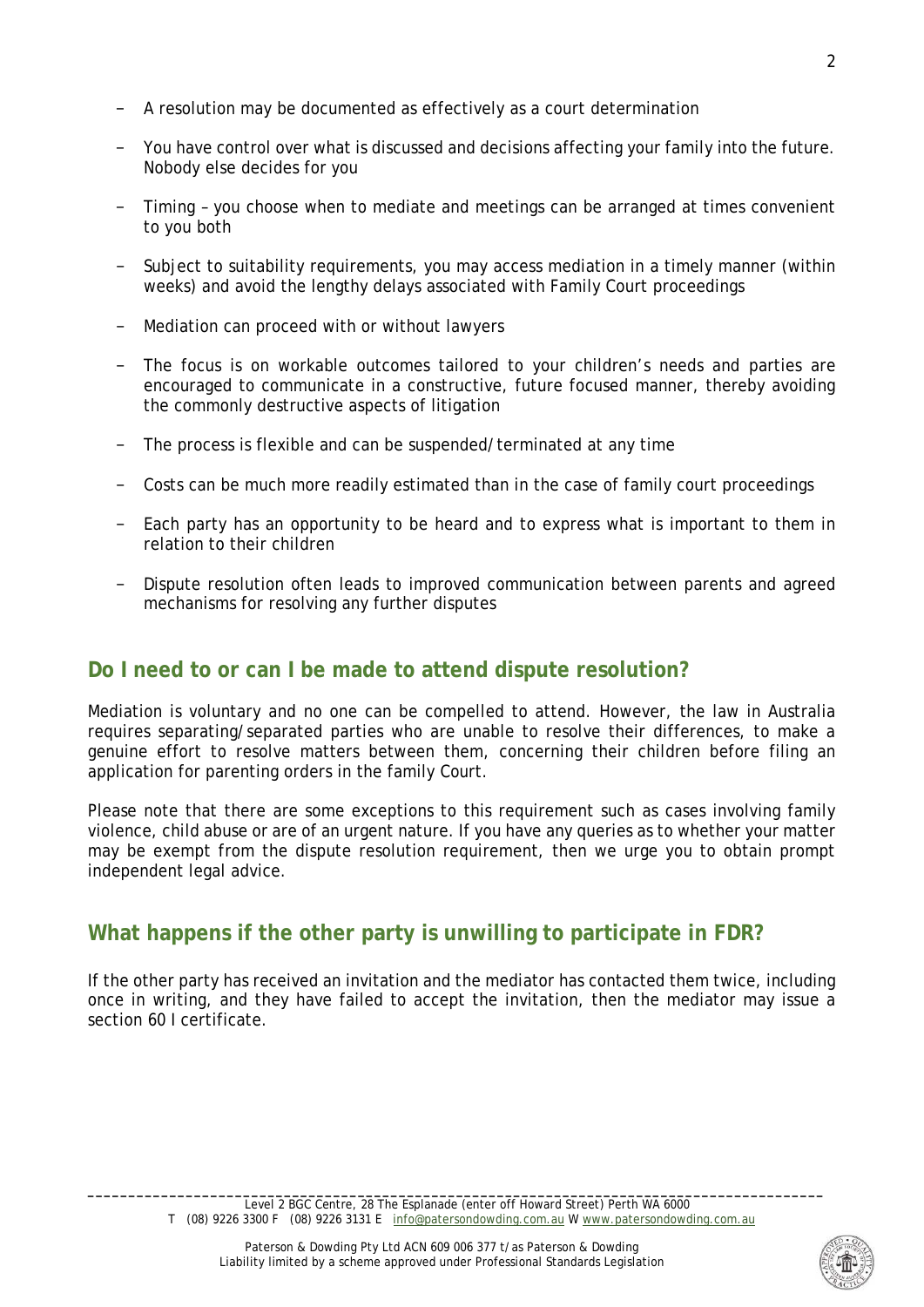- A resolution may be documented as effectively as a court determination
- You have control over what is discussed and decisions affecting your family into the future. Nobody else decides for you
- Timing you choose when to mediate and meetings can be arranged at times convenient to you both
- Subject to suitability requirements, you may access mediation in a timely manner (within weeks) and avoid the lengthy delays associated with Family Court proceedings
- Mediation can proceed with or without lawyers
- − The focus is on workable outcomes tailored to your children's needs and parties are encouraged to communicate in a constructive, future focused manner, thereby avoiding the commonly destructive aspects of litigation
- − The process is flexible and can be suspended/terminated at any time
- − Costs can be much more readily estimated than in the case of family court proceedings
- Each party has an opportunity to be heard and to express what is important to them in relation to their children
- Dispute resolution often leads to improved communication between parents and agreed mechanisms for resolving any further disputes

# **Do I need to or can I be made to attend dispute resolution?**

Mediation is voluntary and no one can be compelled to attend. However, the law in Australia requires separating/separated parties who are unable to resolve their differences, to make a genuine effort to resolve matters between them, concerning their children before filing an application for parenting orders in the family Court.

Please note that there are some exceptions to this requirement such as cases involving family violence, child abuse or are of an urgent nature. If you have any queries as to whether your matter may be exempt from the dispute resolution requirement, then we urge you to obtain prompt independent legal advice.

# **What happens if the other party is unwilling to participate in FDR?**

If the other party has received an invitation and the mediator has contacted them twice, including once in writing, and they have failed to accept the invitation, then the mediator may issue a section 60 I certificate.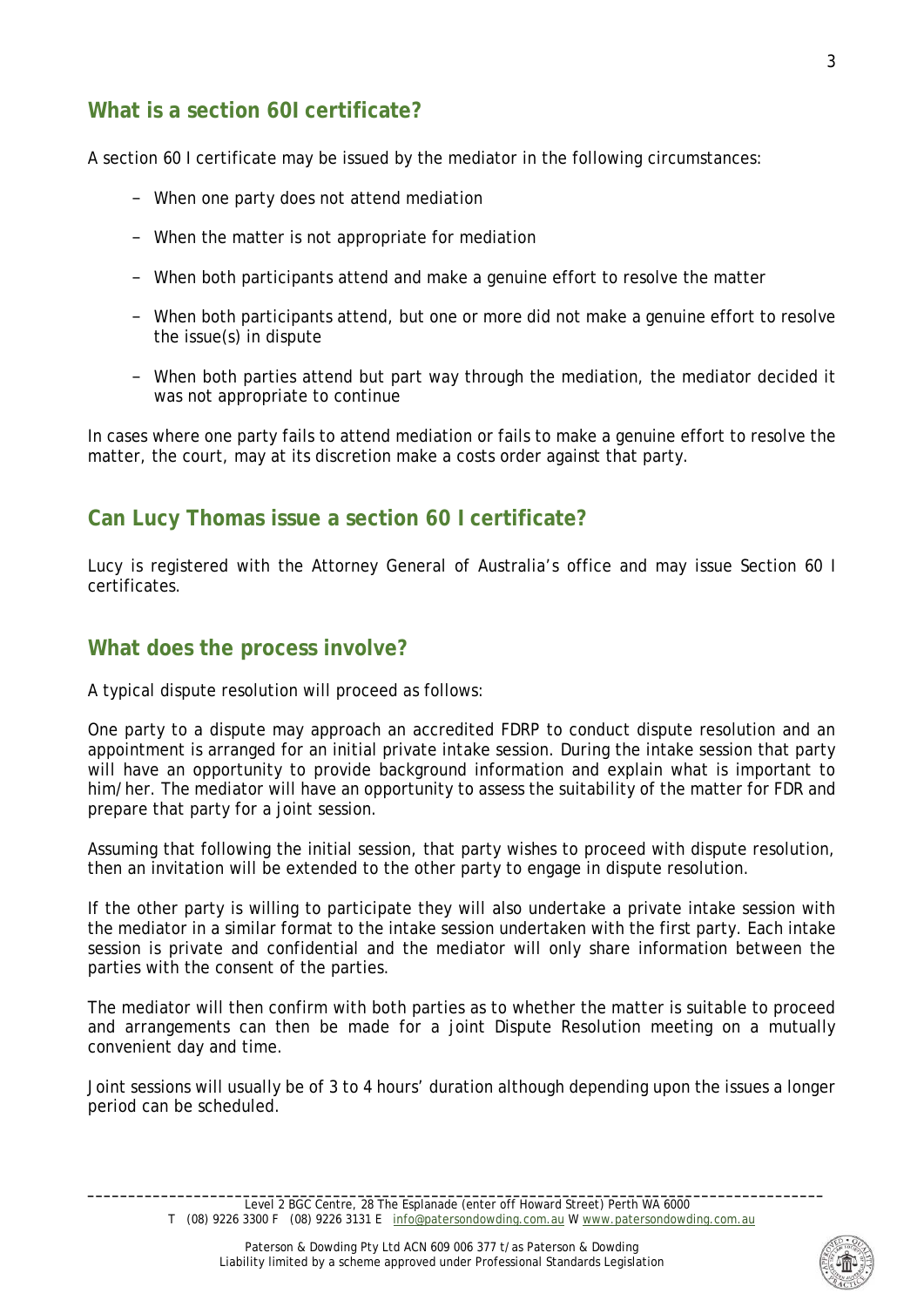# **What is a section 60I certificate?**

A section 60 I certificate may be issued by the mediator in the following circumstances:

- − When one party does not attend mediation
- − When the matter is not appropriate for mediation
- − When both participants attend and make a genuine effort to resolve the matter
- − When both participants attend, but one or more did not make a genuine effort to resolve the issue(s) in dispute
- − When both parties attend but part way through the mediation, the mediator decided it was not appropriate to continue

In cases where one party fails to attend mediation or fails to make a genuine effort to resolve the matter, the court, may at its discretion make a costs order against that party.

# **Can Lucy Thomas issue a section 60 I certificate?**

Lucy is registered with the Attorney General of Australia's office and may issue Section 60 I certificates.

#### **What does the process involve?**

A typical dispute resolution will proceed as follows:

One party to a dispute may approach an accredited FDRP to conduct dispute resolution and an appointment is arranged for an initial private intake session. During the intake session that party will have an opportunity to provide background information and explain what is important to him/her. The mediator will have an opportunity to assess the suitability of the matter for FDR and prepare that party for a joint session.

Assuming that following the initial session, that party wishes to proceed with dispute resolution, then an invitation will be extended to the other party to engage in dispute resolution.

If the other party is willing to participate they will also undertake a private intake session with the mediator in a similar format to the intake session undertaken with the first party. Each intake session is private and confidential and the mediator will only share information between the parties with the consent of the parties.

The mediator will then confirm with both parties as to whether the matter is suitable to proceed and arrangements can then be made for a joint Dispute Resolution meeting on a mutually convenient day and time.

Joint sessions will usually be of 3 to 4 hours' duration although depending upon the issues a longer period can be scheduled.

**\_\_\_\_\_\_\_\_\_\_\_\_\_\_\_\_\_\_\_\_\_\_\_\_\_\_\_\_\_\_\_\_\_\_\_\_\_\_\_\_\_\_\_\_\_\_\_\_\_\_\_\_\_\_\_\_\_\_\_\_\_\_\_\_\_\_\_\_\_\_\_\_\_\_\_\_\_\_\_\_\_\_\_\_\_\_\_\_\_\_** Level 2 BGC Centre, 28 The Esplanade (enter off Howard Street) Perth WA 6000 T (08) 9226 3300 F (08) 9226 3131 E [info@patersondowding.com.au](mailto:info@patersondowding.com.au) [W www.patersondowding.com.au](http://www.patersondowding.com.au/)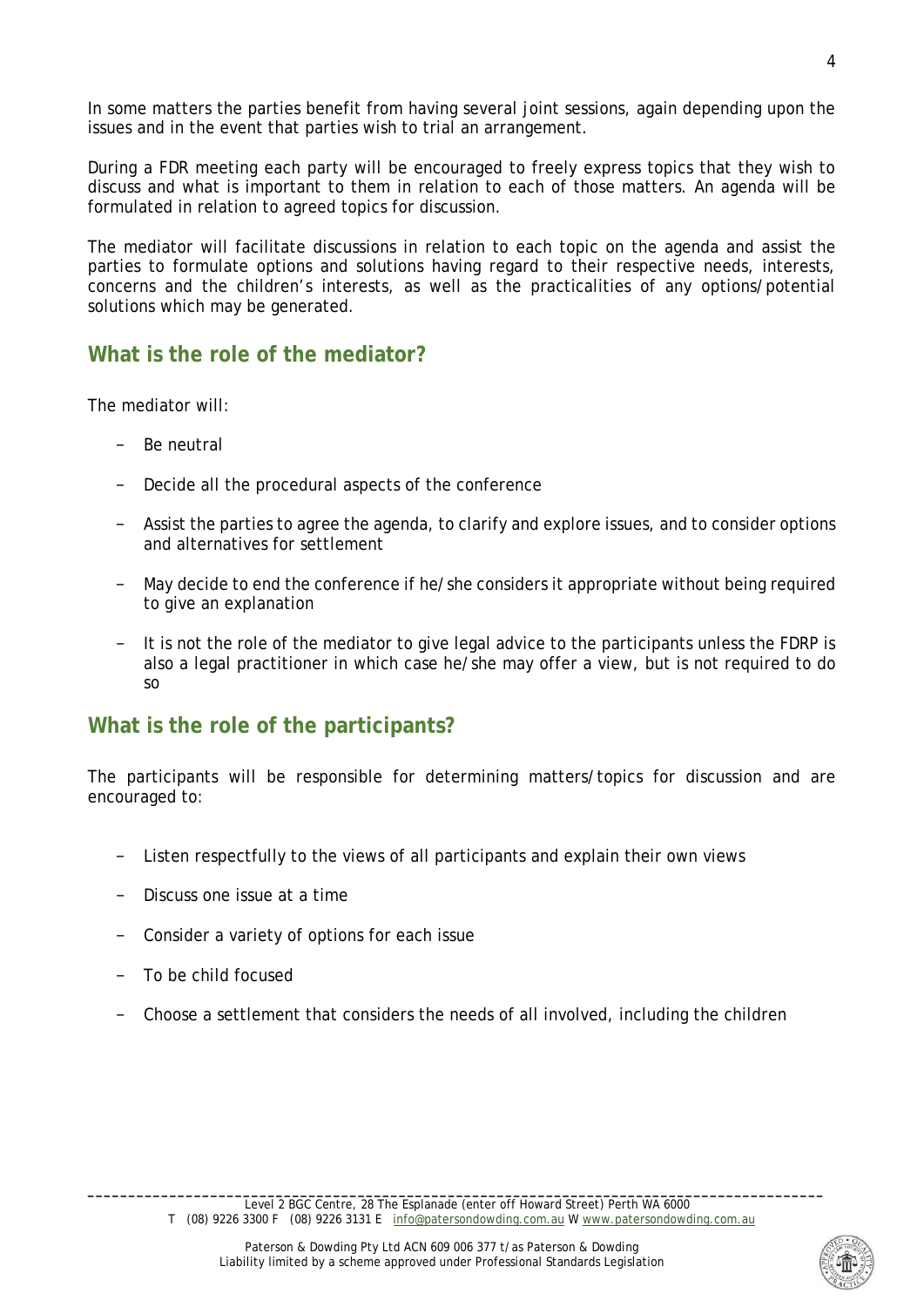In some matters the parties benefit from having several joint sessions, again depending upon the issues and in the event that parties wish to trial an arrangement.

During a FDR meeting each party will be encouraged to freely express topics that they wish to discuss and what is important to them in relation to each of those matters. An agenda will be formulated in relation to agreed topics for discussion.

The mediator will facilitate discussions in relation to each topic on the agenda and assist the parties to formulate options and solutions having regard to their respective needs, interests, concerns and the children's interests, as well as the practicalities of any options/potential solutions which may be generated.

#### **What is the role of the mediator?**

The mediator will:

- Be neutral
- Decide all the procedural aspects of the conference
- − Assist the parties to agree the agenda, to clarify and explore issues, and to consider options and alternatives for settlement
- May decide to end the conference if he/she considers it appropriate without being required to give an explanation
- It is not the role of the mediator to give legal advice to the participants unless the FDRP is also a legal practitioner in which case he/she may offer a view, but is not required to do so

#### **What is the role of the participants?**

The participants will be responsible for determining matters/topics for discussion and are encouraged to:

- − Listen respectfully to the views of all participants and explain their own views
- Discuss one issue at a time
- − Consider a variety of options for each issue
- − To be child focused
- − Choose a settlement that considers the needs of all involved, including the children

**\_\_\_\_\_\_\_\_\_\_\_\_\_\_\_\_\_\_\_\_\_\_\_\_\_\_\_\_\_\_\_\_\_\_\_\_\_\_\_\_\_\_\_\_\_\_\_\_\_\_\_\_\_\_\_\_\_\_\_\_\_\_\_\_\_\_\_\_\_\_\_\_\_\_\_\_\_\_\_\_\_\_\_\_\_\_\_\_\_\_** Level 2 BGC Centre, 28 The Esplanade (enter off Howard Street) Perth WA 6000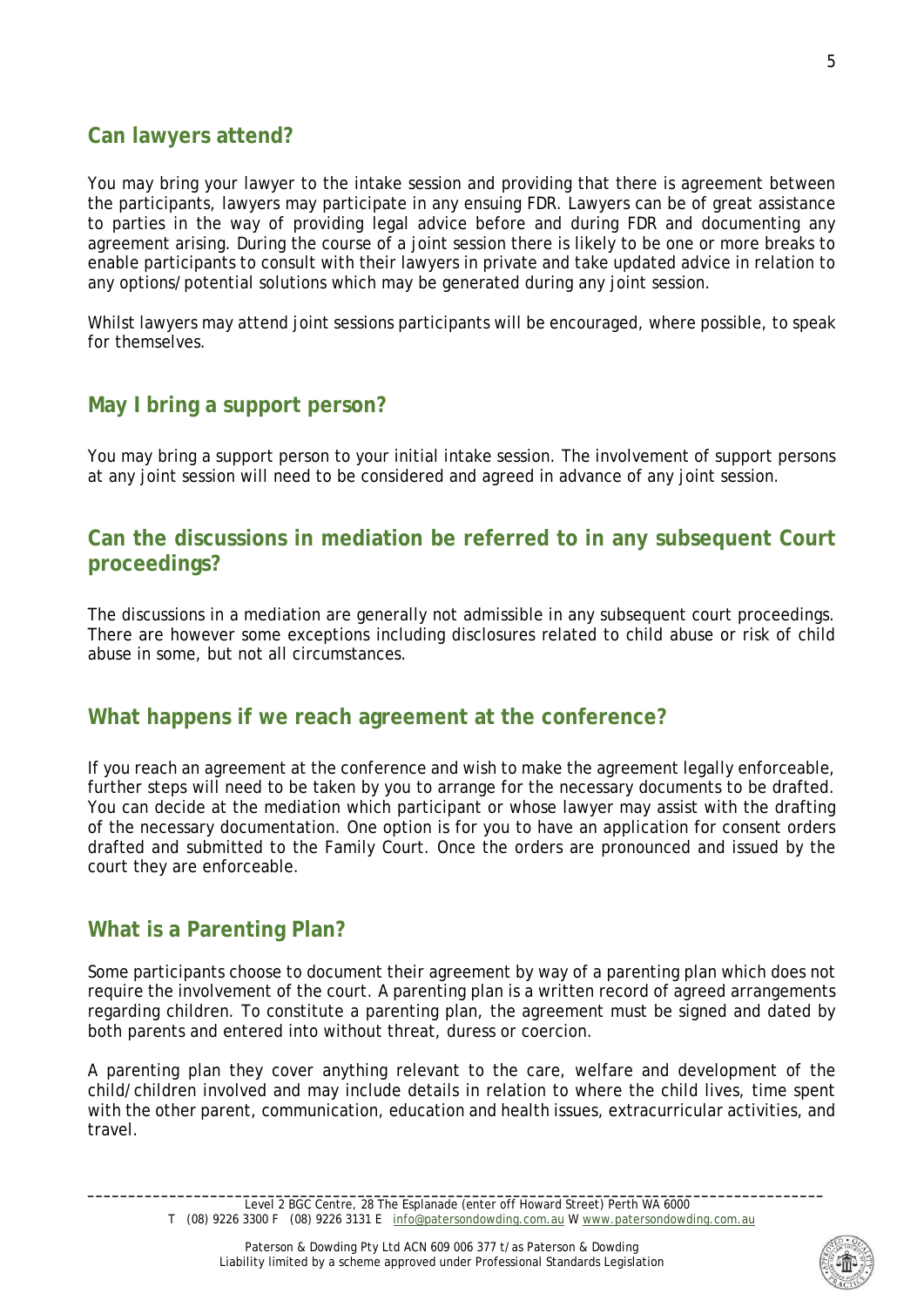# **Can lawyers attend?**

You may bring your lawyer to the intake session and providing that there is agreement between the participants, lawyers may participate in any ensuing FDR. Lawyers can be of great assistance to parties in the way of providing legal advice before and during FDR and documenting any agreement arising. During the course of a joint session there is likely to be one or more breaks to enable participants to consult with their lawyers in private and take updated advice in relation to any options/potential solutions which may be generated during any joint session.

Whilst lawyers may attend joint sessions participants will be encouraged, where possible, to speak for themselves.

# **May I bring a support person?**

You may bring a support person to your initial intake session. The involvement of support persons at any joint session will need to be considered and agreed in advance of any joint session.

#### **Can the discussions in mediation be referred to in any subsequent Court proceedings?**

The discussions in a mediation are generally not admissible in any subsequent court proceedings. There are however some exceptions including disclosures related to child abuse or risk of child abuse in some, but not all circumstances.

#### **What happens if we reach agreement at the conference?**

If you reach an agreement at the conference and wish to make the agreement legally enforceable, further steps will need to be taken by you to arrange for the necessary documents to be drafted. You can decide at the mediation which participant or whose lawyer may assist with the drafting of the necessary documentation. One option is for you to have an application for consent orders drafted and submitted to the Family Court. Once the orders are pronounced and issued by the court they are enforceable.

#### **What is a Parenting Plan?**

Some participants choose to document their agreement by way of a parenting plan which does not require the involvement of the court. A parenting plan is a written record of agreed arrangements regarding children. To constitute a parenting plan, the agreement must be signed and dated by both parents and entered into without threat, duress or coercion.

A parenting plan they cover anything relevant to the care, welfare and development of the child/children involved and may include details in relation to where the child lives, time spent with the other parent, communication, education and health issues, extracurricular activities, and travel.



**\_\_\_\_\_\_\_\_\_\_\_\_\_\_\_\_\_\_\_\_\_\_\_\_\_\_\_\_\_\_\_\_\_\_\_\_\_\_\_\_\_\_\_\_\_\_\_\_\_\_\_\_\_\_\_\_\_\_\_\_\_\_\_\_\_\_\_\_\_\_\_\_\_\_\_\_\_\_\_\_\_\_\_\_\_\_\_\_\_\_** Level 2 BGC Centre, 28 The Esplanade (enter off Howard Street) Perth WA 6000 T (08) 9226 3300 F (08) 9226 3131 E [info@patersondowding.com.au](mailto:info@patersondowding.com.au) [W www.patersondowding.com.au](http://www.patersondowding.com.au/)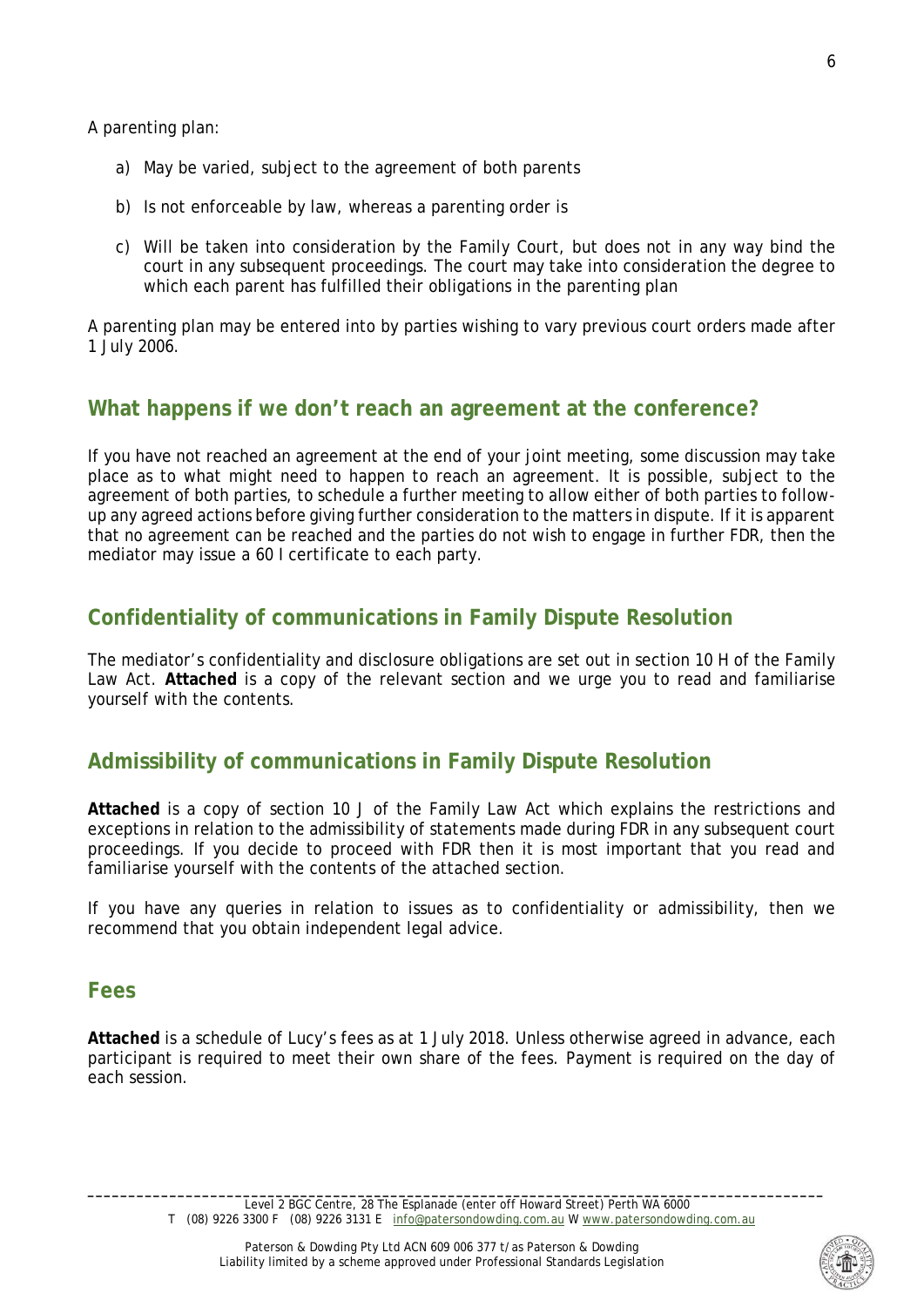A parenting plan:

- a) May be varied, subject to the agreement of both parents
- b) Is not enforceable by law, whereas a parenting order is
- c) Will be taken into consideration by the Family Court, but does not in any way bind the court in any subsequent proceedings. The court may take into consideration the degree to which each parent has fulfilled their obligations in the parenting plan

A parenting plan may be entered into by parties wishing to vary previous court orders made after 1 July 2006.

# **What happens if we don't reach an agreement at the conference?**

If you have not reached an agreement at the end of your joint meeting, some discussion may take place as to what might need to happen to reach an agreement. It is possible, subject to the agreement of both parties, to schedule a further meeting to allow either of both parties to followup any agreed actions before giving further consideration to the matters in dispute. If it is apparent that no agreement can be reached and the parties do not wish to engage in further FDR, then the mediator may issue a 60 I certificate to each party.

# **Confidentiality of communications in Family Dispute Resolution**

The mediator's confidentiality and disclosure obligations are set out in section 10 H of the Family Law Act. **Attached** is a copy of the relevant section and we urge you to read and familiarise yourself with the contents.

# **Admissibility of communications in Family Dispute Resolution**

**Attached** is a copy of section 10 J of the Family Law Act which explains the restrictions and exceptions in relation to the admissibility of statements made during FDR in any subsequent court proceedings. If you decide to proceed with FDR then it is most important that you read and familiarise yourself with the contents of the attached section.

If you have any queries in relation to issues as to confidentiality or admissibility, then we recommend that you obtain independent legal advice.

#### **Fees**

**Attached** is a schedule of Lucy's fees as at 1 July 2018. Unless otherwise agreed in advance, each participant is required to meet their own share of the fees. Payment is required on the day of each session.

6



**\_\_\_\_\_\_\_\_\_\_\_\_\_\_\_\_\_\_\_\_\_\_\_\_\_\_\_\_\_\_\_\_\_\_\_\_\_\_\_\_\_\_\_\_\_\_\_\_\_\_\_\_\_\_\_\_\_\_\_\_\_\_\_\_\_\_\_\_\_\_\_\_\_\_\_\_\_\_\_\_\_\_\_\_\_\_\_\_\_\_** Level 2 BGC Centre, 28 The Esplanade (enter off Howard Street) Perth WA 6000 T (08) 9226 3300 F (08) 9226 3131 E [info@patersondowding.com.au](mailto:info@patersondowding.com.au) [W www.patersondowding.com.au](http://www.patersondowding.com.au/)